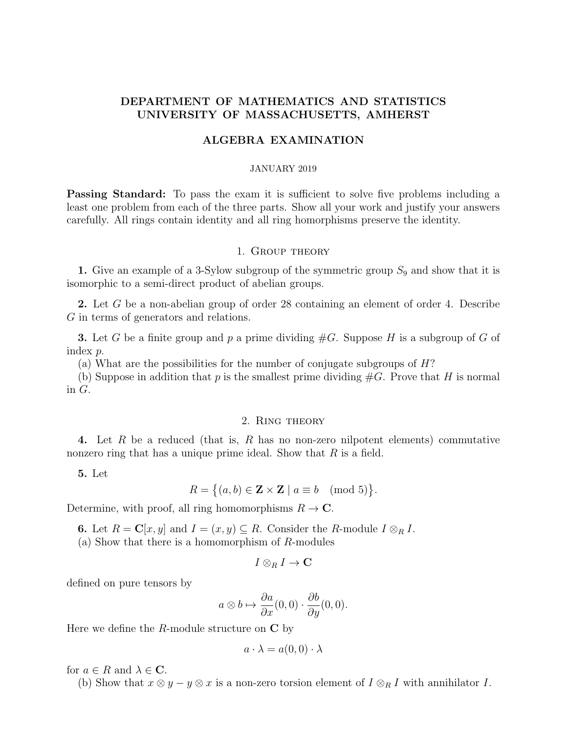# DEPARTMENT OF MATHEMATICS AND STATISTICS UNIVERSITY OF MASSACHUSETTS, AMHERST

# ALGEBRA EXAMINATION

#### JANUARY 2019

**Passing Standard:** To pass the exam it is sufficient to solve five problems including a least one problem from each of the three parts. Show all your work and justify your answers carefully. All rings contain identity and all ring homorphisms preserve the identity.

### 1. Group theory

1. Give an example of a 3-Sylow subgroup of the symmetric group  $S_9$  and show that it is isomorphic to a semi-direct product of abelian groups.

2. Let G be a non-abelian group of order 28 containing an element of order 4. Describe G in terms of generators and relations.

**3.** Let G be a finite group and p a prime dividing  $#G$ . Suppose H is a subgroup of G of index p.

(a) What are the possibilities for the number of conjugate subgroups of H?

(b) Suppose in addition that p is the smallest prime dividing  $#G$ . Prove that H is normal in G.

#### 2. Ring theory

4. Let R be a reduced (that is, R has no non-zero nilpotent elements) commutative nonzero ring that has a unique prime ideal. Show that  $R$  is a field.

5. Let

$$
R = \{(a, b) \in \mathbf{Z} \times \mathbf{Z} \mid a \equiv b \pmod{5}\}.
$$

Determine, with proof, all ring homomorphisms  $R \to \mathbb{C}$ .

**6.** Let  $R = \mathbf{C}[x, y]$  and  $I = (x, y) \subseteq R$ . Consider the R-module  $I \otimes_R I$ .

(a) Show that there is a homomorphism of R-modules

$$
I\otimes_R I\to \mathbf{C}
$$

defined on pure tensors by

$$
a \otimes b \mapsto \frac{\partial a}{\partial x}(0,0) \cdot \frac{\partial b}{\partial y}(0,0).
$$

Here we define the  $R$ -module structure on  $C$  by

$$
a \cdot \lambda = a(0,0) \cdot \lambda
$$

for  $a \in R$  and  $\lambda \in \mathbb{C}$ .

(b) Show that  $x \otimes y - y \otimes x$  is a non-zero torsion element of  $I \otimes_R I$  with annihilator I.